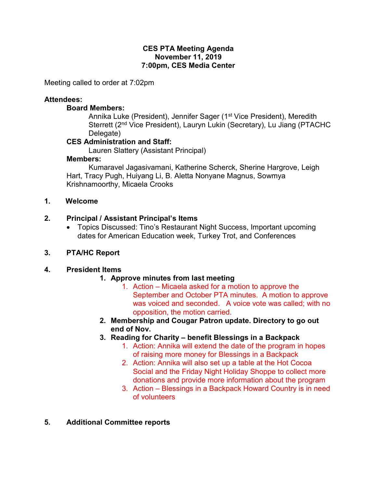#### CES PTA Meeting Agenda November 11, 2019 7:00pm, CES Media Center

Meeting called to order at 7:02pm

#### Attendees:

#### Board Members:

Annika Luke (President), Jennifer Sager (1<sup>st</sup> Vice President), Meredith Sterrett (2<sup>nd</sup> Vice President), Lauryn Lukin (Secretary), Lu Jiang (PTACHC Delegate)

## CES Administration and Staff:

Lauren Slattery (Assistant Principal)

#### Members:

 Kumaravel Jagasivamani, Katherine Scherck, Sherine Hargrove, Leigh Hart, Tracy Pugh, Huiyang Li, B. Aletta Nonyane Magnus, Sowmya Krishnamoorthy, Micaela Crooks

### 1. Welcome

#### 2. Principal / Assistant Principal's Items

 Topics Discussed: Tino's Restaurant Night Success, Important upcoming dates for American Education week, Turkey Trot, and Conferences

#### 3. PTA/HC Report

#### 4. President Items

#### 1. Approve minutes from last meeting

- 1. Action Micaela asked for a motion to approve the September and October PTA minutes. A motion to approve was voiced and seconded. A voice vote was called; with no opposition, the motion carried.
- 2. Membership and Cougar Patron update. Directory to go out end of Nov.
- 3. Reading for Charity benefit Blessings in a Backpack
	- 1. Action: Annika will extend the date of the program in hopes of raising more money for Blessings in a Backpack
	- 2. Action: Annika will also set up a table at the Hot Cocoa Social and the Friday Night Holiday Shoppe to collect more donations and provide more information about the program
	- 3. Action Blessings in a Backpack Howard Country is in need of volunteers
- 5. Additional Committee reports